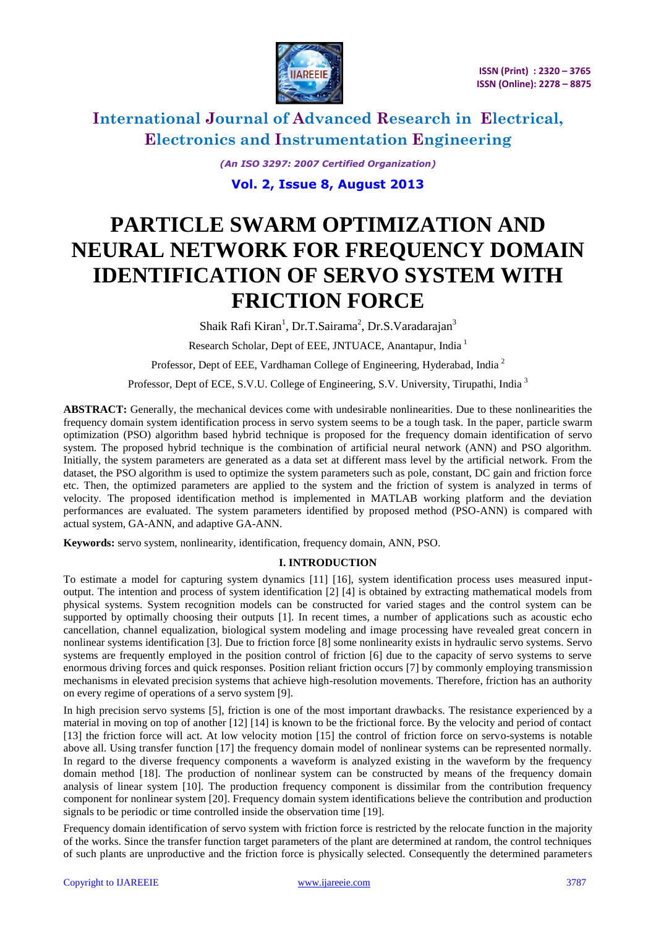

*(An ISO 3297: 2007 Certified Organization)*

**Vol. 2, Issue 8, August 2013**

# **PARTICLE SWARM OPTIMIZATION AND NEURAL NETWORK FOR FREQUENCY DOMAIN IDENTIFICATION OF SERVO SYSTEM WITH FRICTION FORCE**

Shaik Rafi Kiran<sup>1</sup>, Dr.T.Sairama<sup>2</sup>, Dr.S.Varadarajan<sup>3</sup>

Research Scholar, Dept of EEE, JNTUACE, Anantapur, India <sup>1</sup>

Professor, Dept of EEE, Vardhaman College of Engineering, Hyderabad, India<sup>2</sup>

Professor, Dept of ECE, S.V.U. College of Engineering, S.V. University, Tirupathi, India <sup>3</sup>

**ABSTRACT:** Generally, the mechanical devices come with undesirable nonlinearities. Due to these nonlinearities the frequency domain system identification process in servo system seems to be a tough task. In the paper, particle swarm optimization (PSO) algorithm based hybrid technique is proposed for the frequency domain identification of servo system. The proposed hybrid technique is the combination of artificial neural network (ANN) and PSO algorithm. Initially, the system parameters are generated as a data set at different mass level by the artificial network. From the dataset, the PSO algorithm is used to optimize the system parameters such as pole, constant, DC gain and friction force etc. Then, the optimized parameters are applied to the system and the friction of system is analyzed in terms of velocity. The proposed identification method is implemented in MATLAB working platform and the deviation performances are evaluated. The system parameters identified by proposed method (PSO-ANN) is compared with actual system, GA-ANN, and adaptive GA-ANN.

**Keywords:** servo system, nonlinearity, identification, frequency domain, ANN, PSO.

#### **I. INTRODUCTION**

To estimate a model for capturing system dynamics [11] [16], system identification process uses measured inputoutput. The intention and process of system identification [2] [4] is obtained by extracting mathematical models from physical systems. System recognition models can be constructed for varied stages and the control system can be supported by optimally choosing their outputs [1]. In recent times, a number of applications such as acoustic echo cancellation, channel equalization, biological system modeling and image processing have revealed great concern in nonlinear systems identification [3]. Due to friction force [8] some nonlinearity exists in hydraulic servo systems. Servo systems are frequently employed in the position control of friction [6] due to the capacity of servo systems to serve enormous driving forces and quick responses. Position reliant friction occurs [7] by commonly employing transmission mechanisms in elevated precision systems that achieve high-resolution movements. Therefore, friction has an authority on every regime of operations of a servo system [9].

In high precision servo systems [5], friction is one of the most important drawbacks. The resistance experienced by a material in moving on top of another [12] [14] is known to be the frictional force. By the velocity and period of contact [13] the friction force will act. At low velocity motion [15] the control of friction force on servo-systems is notable above all. Using transfer function [17] the frequency domain model of nonlinear systems can be represented normally. In regard to the diverse frequency components a waveform is analyzed existing in the waveform by the frequency domain method [18]. The production of nonlinear system can be constructed by means of the frequency domain analysis of linear system [10]. The production frequency component is dissimilar from the contribution frequency component for nonlinear system [20]. Frequency domain system identifications believe the contribution and production signals to be periodic or time controlled inside the observation time [19].

Frequency domain identification of servo system with friction force is restricted by the relocate function in the majority of the works. Since the transfer function target parameters of the plant are determined at random, the control techniques of such plants are unproductive and the friction force is physically selected. Consequently the determined parameters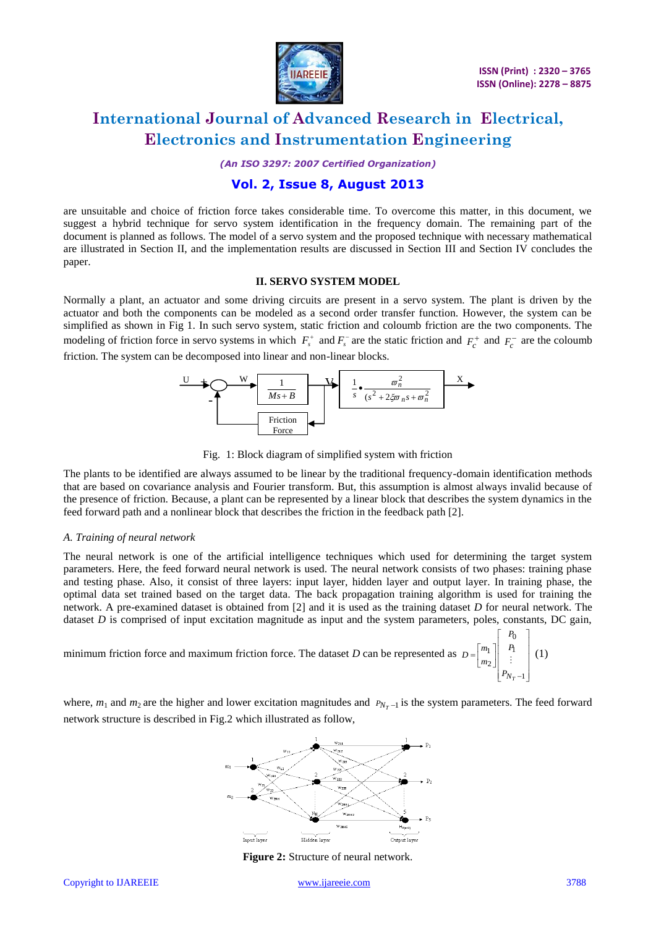

*(An ISO 3297: 2007 Certified Organization)*

### **Vol. 2, Issue 8, August 2013**

are unsuitable and choice of friction force takes considerable time. To overcome this matter, in this document, we suggest a hybrid technique for servo system identification in the frequency domain. The remaining part of the document is planned as follows. The model of a servo system and the proposed technique with necessary mathematical are illustrated in Section II, and the implementation results are discussed in Section III and Section IV concludes the paper.

#### **II. SERVO SYSTEM MODEL**

Normally a plant, an actuator and some driving circuits are present in a servo system. The plant is driven by the actuator and both the components can be modeled as a second order transfer function. However, the system can be simplified as shown in Fig 1. In such servo system, static friction and coloumb friction are the two components. The modeling of friction force in servo systems in which  $F_s^+$  and  $F_s^-$  are the static friction and  $F_c^+$  and  $F_c^-$  are the coloumb friction. The system can be decomposed into linear and non-linear blocks.





The plants to be identified are always assumed to be linear by the traditional frequency-domain identification methods that are based on covariance analysis and Fourier transform. But, this assumption is almost always invalid because of the presence of friction. Because, a plant can be represented by a linear block that describes the system dynamics in the feed forward path and a nonlinear block that describes the friction in the feedback path [2].

#### *A. Training of neural network*

The neural network is one of the artificial intelligence techniques which used for determining the target system parameters. Here, the feed forward neural network is used. The neural network consists of two phases: training phase and testing phase. Also, it consist of three layers: input layer, hidden layer and output layer. In training phase, the optimal data set trained based on the target data. The back propagation training algorithm is used for training the network. A pre-examined dataset is obtained from [2] and it is used as the training dataset *D* for neural network. The dataset *D* is comprised of input excitation magnitude as input and the system parameters, poles, constants, DC gain,

minimum friction force and maximum friction force. The dataset *D* can be represented as  $\overline{a}$  $\begin{array}{c}\n\bullet \\
\bullet \\
\bullet \\
\bullet\n\end{array}$ L  $\overline{a}$  $\begin{bmatrix} m_1 \\ m_2 \end{bmatrix}$  $=\begin{bmatrix} m_1 \\ n_2 \end{bmatrix}$   $\begin{bmatrix} P_1 \\ P_2 \end{bmatrix}$  $-1$  $\mathfrak{g}$  $\overline{c}$  $_{1}$ *NT P P P m*  $D = \begin{bmatrix} m_1 \\ m_2 \end{bmatrix} \begin{bmatrix} P_1 \\ \vdots \end{bmatrix}$  (1)

where,  $m_1$  and  $m_2$  are the higher and lower excitation magnitudes and  $P_{N_T-1}$  is the system parameters. The feed forward network structure is described in Fig.2 which illustrated as follow,



**Figure 2:** Structure of neural network.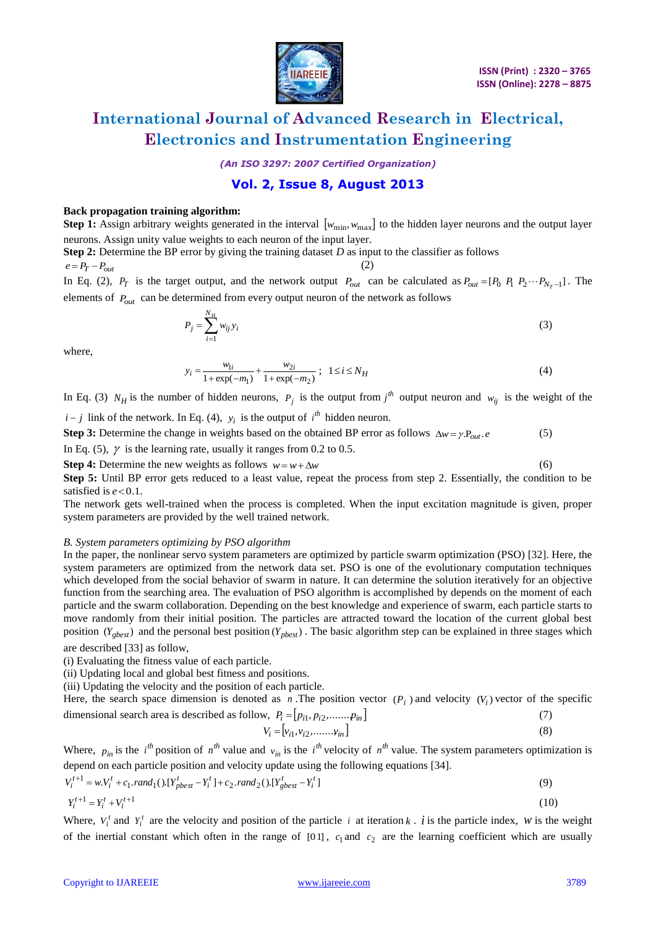

(6)

## **International Journal of Advanced Research in Electrical, Electronics and Instrumentation Engineering**

*(An ISO 3297: 2007 Certified Organization)*

### **Vol. 2, Issue 8, August 2013**

#### **Back propagation training algorithm:**

**Step 1:** Assign arbitrary weights generated in the interval  $[w_{\min}, w_{\max}]$  to the hidden layer neurons and the output layer neurons. Assign unity value weights to each neuron of the input layer.

**Step 2:** Determine the BP error by giving the training dataset *D* as input to the classifier as follows

 $e = P_T - P_{out}$ 

In Eq. (2),  $P_T$  is the target output, and the network output  $P_{out}$  can be calculated as  $P_{out} = [P_0 \ P_1 \ P_2 \cdots P_{N_T-1}]$ . The elements of  $P_{out}$  can be determined from every output neuron of the network as follows

$$
P_j = \sum_{i=1}^{N_H} w_{ij} y_i
$$
\n<sup>(3)</sup>

where,

$$
y_i = \frac{w_{1i}}{1 + \exp(-m_1)} + \frac{w_{2i}}{1 + \exp(-m_2)} \; ; \; 1 \le i \le N_H \tag{4}
$$

In Eq. (3)  $N_H$  is the number of hidden neurons,  $P_j$  is the output from  $j^h$  output neuron and  $w_{ij}$  is the weight of the

 $i - j$  link of the network. In Eq. (4),  $y_i$  is the output of  $i^{th}$  hidden neuron.

**Step 3:** Determine the change in weights based on the obtained BP error as follows  $\Delta w = \gamma P_{out} e$ . (5)

In Eq. (5),  $\gamma$  is the learning rate, usually it ranges from 0.2 to 0.5.

**Step 4:** Determine the new weights as follows  $w = w + \Delta w$ 

**Step 5:** Until BP error gets reduced to a least value, repeat the process from step 2. Essentially, the condition to be satisfied is  $e < 0.1$ .

The network gets well-trained when the process is completed. When the input excitation magnitude is given, proper system parameters are provided by the well trained network.

#### *B. System parameters optimizing by PSO algorithm*

In the paper, the nonlinear servo system parameters are optimized by particle swarm optimization (PSO) [32]. Here, the system parameters are optimized from the network data set. PSO is one of the evolutionary computation techniques which developed from the social behavior of swarm in nature. It can determine the solution iteratively for an objective function from the searching area. The evaluation of PSO algorithm is accomplished by depends on the moment of each particle and the swarm collaboration. Depending on the best knowledge and experience of swarm, each particle starts to move randomly from their initial position. The particles are attracted toward the location of the current global best position  $(Y_{gbest})$  and the personal best position  $(Y_{pbest})$ . The basic algorithm step can be explained in three stages which are described [33] as follow,

(i) Evaluating the fitness value of each particle.

(ii) Updating local and global best fitness and positions.

(iii) Updating the velocity and the position of each particle.

Here, the search space dimension is denoted as *n*. The position vector  $(P_i)$  and velocity  $(V_i)$  vector of the specific dimensional search area is described as follow,  $P_i = [p_{i1}, p_{i2}, \dots, p_{in}]$ (7)

$$
V_i = [v_{i1}, v_{i2}, \dots, v_{in}]
$$
 (8)

Where,  $p_{in}$  is the *i*<sup>th</sup> position of  $n^{th}$  value and  $v_{in}$  is the *i*<sup>th</sup> velocity of  $n^{th}$  value. The system parameters optimization is depend on each particle position and velocity update using the following equations [34].

$$
V_i^{t+1} = w.V_i^t + c_1.random_1().[Y_{pbest}^t - Y_i^t] + c_2.random_2().[Y_{gbest}^t - Y_i^t]
$$
\n
$$
Y_i^{t+1} = Y_i^t + V_i^{t+1}
$$
\n(10)

Where,  $V_i^t$  and  $Y_i^t$  are the velocity and position of the particle *i* at iteration *k*. *i* is the particle index, *w* is the weight of the inertial constant which often in the range of  $[01]$ ,  $c_1$  and  $c_2$  are the learning coefficient which are usually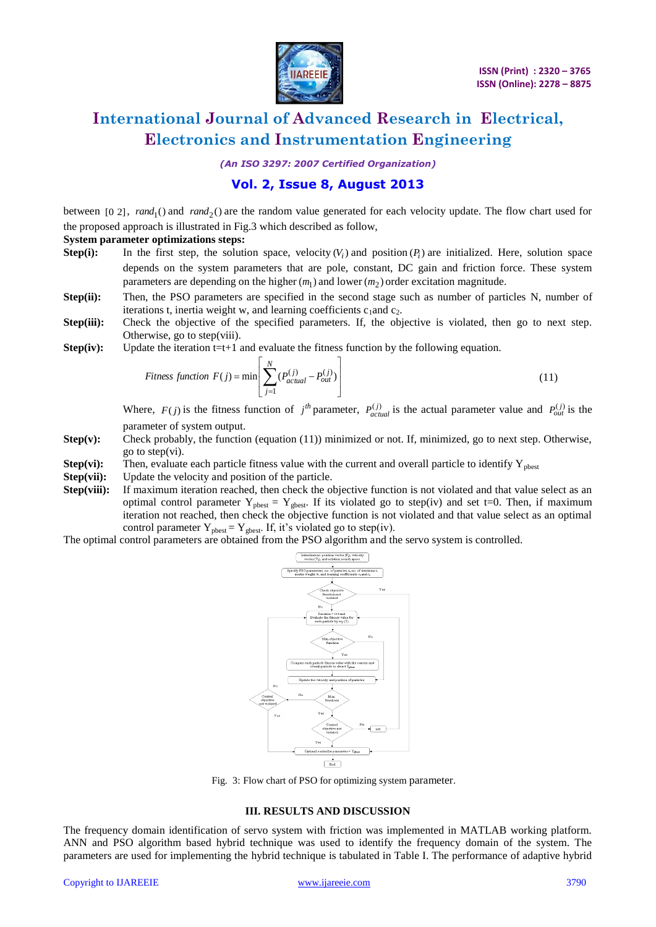

*(An ISO 3297: 2007 Certified Organization)*

### **Vol. 2, Issue 8, August 2013**

between [0 2],  $rand_1()$  and  $rand_2()$  are the random value generated for each velocity update. The flow chart used for the proposed approach is illustrated in Fig.3 which described as follow,

#### **System parameter optimizations steps:**

- **Step(i):** In the first step, the solution space, velocity  $(V_i)$  and position  $(P_i)$  are initialized. Here, solution space depends on the system parameters that are pole, constant, DC gain and friction force. These system parameters are depending on the higher  $(m_1)$  and lower  $(m_2)$  order excitation magnitude.
- **Step(ii):** Then, the PSO parameters are specified in the second stage such as number of particles N, number of iterations t, inertia weight w, and learning coefficients  $c_1$  and  $c_2$ .
- **Step(iii):** Check the objective of the specified parameters. If, the objective is violated, then go to next step. Otherwise, go to step(viii).
- **Step(iv):** Update the iteration  $t=t+1$  and evaluate the fitness function by the following equation.

$$
Fitness function F(j) = min \left[ \sum_{j=1}^{N} (P_{actual}^{(j)} - P_{out}^{(j)}) \right]
$$
\n(11)

Where,  $F(j)$  is the fitness function of  $j^{th}$  parameter,  $P_{actual}^{(j)}$  is the actual parameter value and  $P_{out}^{(j)}$  is the parameter of system output.

- **Step(v):** Check probably, the function (equation (11)) minimized or not. If, minimized, go to next step. Otherwise, go to step(vi).
- **Step(vi):** Then, evaluate each particle fitness value with the current and overall particle to identify  $Y_{\text{pbest}}$
- **Step(vii):** Update the velocity and position of the particle.
- **Step(viii):** If maximum iteration reached, then check the objective function is not violated and that value select as an optimal control parameter  $Y_{\text{pbest}} = Y_{\text{gbest}}$ . If its violated go to step(iv) and set t=0. Then, if maximum iteration not reached, then check the objective function is not violated and that value select as an optimal control parameter  $Y_{\text{pbest}} = Y_{\text{gbest}}$ . If, it's violated go to step(iv).

The optimal control parameters are obtained from the PSO algorithm and the servo system is controlled.



Fig. 3: Flow chart of PSO for optimizing system parameter.

#### **III. RESULTS AND DISCUSSION**

The frequency domain identification of servo system with friction was implemented in MATLAB working platform. ANN and PSO algorithm based hybrid technique was used to identify the frequency domain of the system. The parameters are used for implementing the hybrid technique is tabulated in Table I. The performance of adaptive hybrid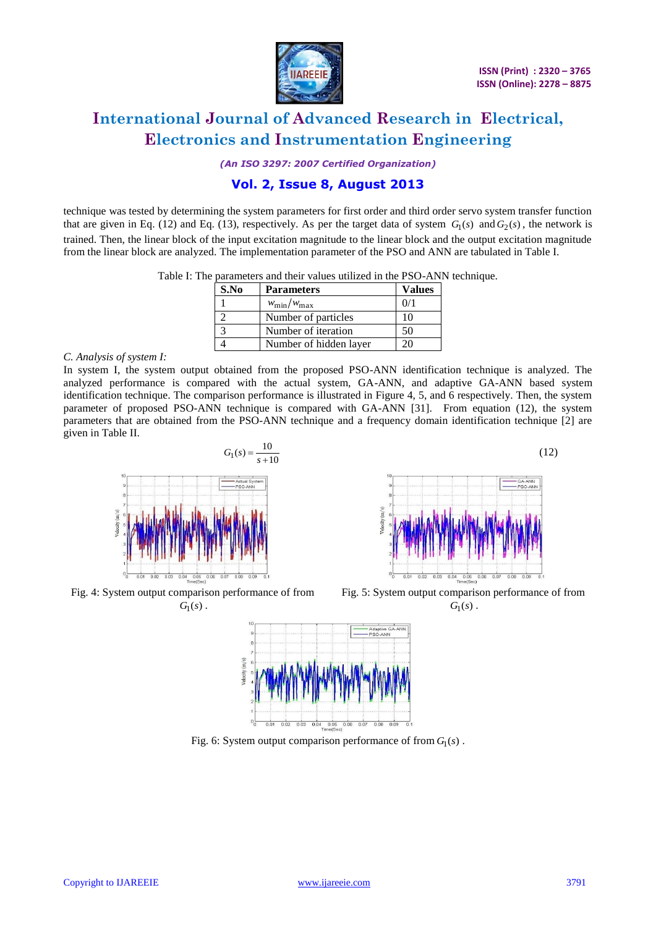

(12)

## **International Journal of Advanced Research in Electrical, Electronics and Instrumentation Engineering**

*(An ISO 3297: 2007 Certified Organization)*

### **Vol. 2, Issue 8, August 2013**

technique was tested by determining the system parameters for first order and third order servo system transfer function that are given in Eq. (12) and Eq. (13), respectively. As per the target data of system  $G_1(s)$  and  $G_2(s)$ , the network is trained. Then, the linear block of the input excitation magnitude to the linear block and the output excitation magnitude from the linear block are analyzed. The implementation parameter of the PSO and ANN are tabulated in Table I.

| Table I: The parameters and their values utilized in the PSO-ANN technique. |
|-----------------------------------------------------------------------------|
|-----------------------------------------------------------------------------|

| S.No | <b>Parameters</b>      | <b>Values</b> |
|------|------------------------|---------------|
|      | $w_{\min}/w_{\max}$    | 0/1           |
|      | Number of particles    | 10            |
|      | Number of iteration    | 50            |
|      | Number of hidden layer | 20            |

#### *C. Analysis of system I:*

In system I, the system output obtained from the proposed PSO-ANN identification technique is analyzed. The analyzed performance is compared with the actual system, GA-ANN, and adaptive GA-ANN based system identification technique. The comparison performance is illustrated in Figure 4, 5, and 6 respectively. Then, the system parameter of proposed PSO-ANN technique is compared with GA-ANN [31]. From equation (12), the system parameters that are obtained from the PSO-ANN technique and a frequency domain identification technique [2] are given in Table II.





Fig. 4: System output comparison performance of from  $G_1(s)$ .

Fig. 5: System output comparison performance of from  $G_1(s)$ .



Fig. 6: System output comparison performance of from  $G_1(s)$ .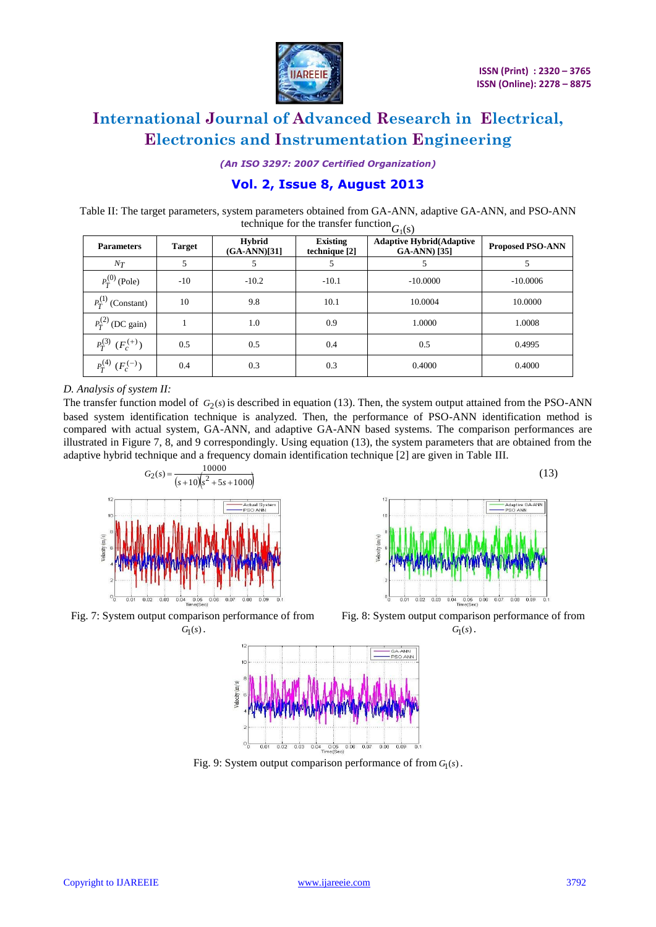

(13)

## **International Journal of Advanced Research in Electrical, Electronics and Instrumentation Engineering**

*(An ISO 3297: 2007 Certified Organization)*

### **Vol. 2, Issue 8, August 2013**

Table II: The target parameters, system parameters obtained from GA-ANN, adaptive GA-ANN, and PSO-ANN technique for the transfer function<sub> $G_1(s)$ </sub>

|                           | $\mathcal{O}_1(\mathcal{O})$ |                                 |                                  |                                                         |                         |
|---------------------------|------------------------------|---------------------------------|----------------------------------|---------------------------------------------------------|-------------------------|
| <b>Parameters</b>         | <b>Target</b>                | <b>Hybrid</b><br>$(GA-ANN)[31]$ | <b>Existing</b><br>technique [2] | <b>Adaptive Hybrid(Adaptive</b><br><b>GA-ANN</b> ) [35] | <b>Proposed PSO-ANN</b> |
| $N_T$                     | 5                            | 5                               |                                  |                                                         |                         |
| $P_T^{(0)}$ (Pole)        | $-10$                        | $-10.2$                         | $-10.1$                          | $-10,0000$                                              | $-10,0006$              |
| $P_T^{(1)}$ (Constant)    | 10                           | 9.8                             | 10.1                             | 10.0004                                                 | 10.0000                 |
| $P_T^{(2)}$ (DC gain)     |                              | 1.0                             | 0.9                              | 1.0000                                                  | 1.0008                  |
| $P_T^{(3)}$ $(F_c^{(+)})$ | 0.5                          | 0.5                             | 0.4                              | 0.5                                                     | 0.4995                  |
| $P_T^{(4)}$ $(F_c^{(-)})$ | 0.4                          | 0.3                             | 0.3                              | 0.4000                                                  | 0.4000                  |

#### *D. Analysis of system II:*

The transfer function model of  $G_2(s)$  is described in equation (13). Then, the system output attained from the PSO-ANN based system identification technique is analyzed. Then, the performance of PSO-ANN identification method is compared with actual system, GA-ANN, and adaptive GA-ANN based systems. The comparison performances are illustrated in Figure 7, 8, and 9 correspondingly. Using equation (13), the system parameters that are obtained from the adaptive hybrid technique and a frequency domain identification technique [2] are given in Table III.



Fig. 7: System output comparison performance of from  $G<sub>1</sub>(s)$ .





Fig. 9: System output comparison performance of from  $G_1(s)$ .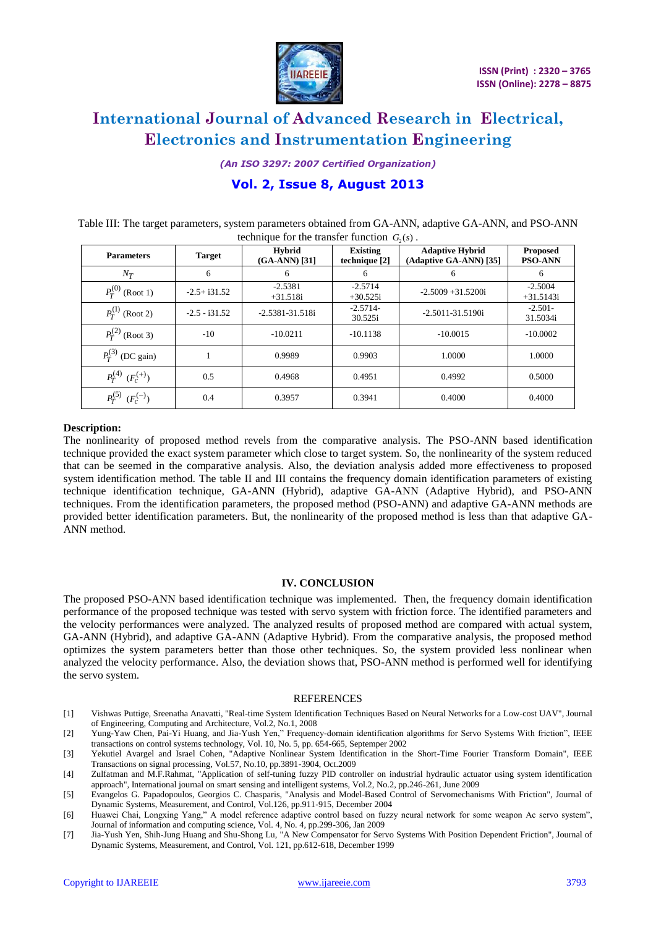

*(An ISO 3297: 2007 Certified Organization)*

### **Vol. 2, Issue 8, August 2013**

| Table III: The target parameters, system parameters obtained from GA-ANN, adaptive GA-ANN, and PSO-ANN |  |
|--------------------------------------------------------------------------------------------------------|--|
| technique for the transfer function $G_2(s)$ .                                                         |  |

| <b>Parameters</b>         | <b>Target</b>   | <b>Hybrid</b><br>$(GA-ANN)$ [31] | <b>Existing</b><br>technique [2] | <b>Adaptive Hybrid</b><br>(Adaptive GA-ANN) [35] | <b>Proposed</b><br><b>PSO-ANN</b> |
|---------------------------|-----------------|----------------------------------|----------------------------------|--------------------------------------------------|-----------------------------------|
| $N_T$                     | 6               | 6                                | 6                                | 6                                                | 6                                 |
| $P_T^{(0)}$ (Root 1)      | $-2.5 + i31.52$ | $-2.5381$<br>$+31.518i$          | $-2.5714$<br>$+30.525i$          | $-2.5009 + 31.5200i$                             | $-2.5004$<br>$+31.5143i$          |
| $P_T^{(1)}$ (Root 2)      | $-2.5 - i31.52$ | $-2.5381 - 31.518i$              | $-2.5714-$<br>30.525i            | $-2.5011 - 31.5190i$                             | $-2.501-$<br>31.5034i             |
| $P_T^{(2)}$ (Root 3)      | $-10$           | $-10.0211$                       | $-10.1138$                       | $-10.0015$                                       | $-10,0002$                        |
| $P_T^{(3)}$ (DC gain)     |                 | 0.9989                           | 0.9903                           | 1.0000                                           | 1.0000                            |
| $P_T^{(4)}$ $(F_c^{(+)})$ | 0.5             | 0.4968                           | 0.4951                           | 0.4992                                           | 0.5000                            |
| $P_T^{(5)}$ $(F_c^{(-)})$ | 0.4             | 0.3957                           | 0.3941                           | 0.4000                                           | 0.4000                            |

#### **Description:**

The nonlinearity of proposed method revels from the comparative analysis. The PSO-ANN based identification technique provided the exact system parameter which close to target system. So, the nonlinearity of the system reduced that can be seemed in the comparative analysis. Also, the deviation analysis added more effectiveness to proposed system identification method. The table II and III contains the frequency domain identification parameters of existing technique identification technique, GA-ANN (Hybrid), adaptive GA-ANN (Adaptive Hybrid), and PSO-ANN techniques. From the identification parameters, the proposed method (PSO-ANN) and adaptive GA-ANN methods are provided better identification parameters. But, the nonlinearity of the proposed method is less than that adaptive GA-ANN method.

#### **IV. CONCLUSION**

The proposed PSO-ANN based identification technique was implemented. Then, the frequency domain identification performance of the proposed technique was tested with servo system with friction force. The identified parameters and the velocity performances were analyzed. The analyzed results of proposed method are compared with actual system, GA-ANN (Hybrid), and adaptive GA-ANN (Adaptive Hybrid). From the comparative analysis, the proposed method optimizes the system parameters better than those other techniques. So, the system provided less nonlinear when analyzed the velocity performance. Also, the deviation shows that, PSO-ANN method is performed well for identifying the servo system.

#### REFERENCES

- [1] Vishwas Puttige, Sreenatha Anavatti, "Real-time System Identification Techniques Based on Neural Networks for a Low-cost UAV", Journal of Engineering, Computing and Architecture, Vol.2, No.1, 2008
- [2] Yung-Yaw Chen, Pai-Yi Huang, and Jia-Yush Yen," Frequency-domain identification algorithms for Servo Systems With friction", IEEE transactions on control systems technology, Vol. 10, No. 5, pp. 654-665, Septemper 2002
- [3] Yekutiel Avargel and Israel Cohen, "Adaptive Nonlinear System Identification in the Short-Time Fourier Transform Domain", IEEE Transactions on signal processing, Vol.57, No.10, pp.3891-3904, Oct.2009
- [4] Zulfatman and M.F.Rahmat, "Application of self-tuning fuzzy PID controller on industrial hydraulic actuator using system identification approach", International journal on smart sensing and intelligent systems, Vol.2, No.2, pp.246-261, June 2009
- [5] Evangelos G. Papadopoulos, Georgios C. Chasparis, "Analysis and Model-Based Control of Servomechanisms With Friction", Journal of Dynamic Systems, Measurement, and Control, Vol.126, pp.911-915, December 2004
- [6] Huawei Chai, Longxing Yang," A model reference adaptive control based on fuzzy neural network for some weapon Ac servo system", Journal of information and computing science, Vol. 4, No. 4, pp.299-306, Jan 2009
- [7] Jia-Yush Yen, Shih-Jung Huang and Shu-Shong Lu, "A New Compensator for Servo Systems With Position Dependent Friction", Journal of Dynamic Systems, Measurement, and Control, Vol. 121, pp.612-618, December 1999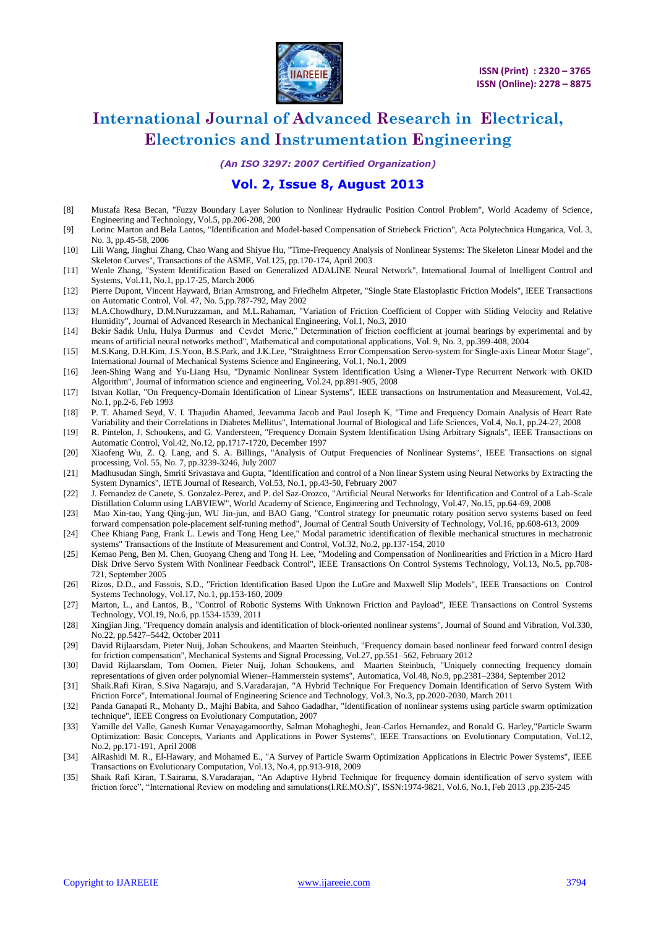

*(An ISO 3297: 2007 Certified Organization)*

### **Vol. 2, Issue 8, August 2013**

- [8] Mustafa Resa Becan, "Fuzzy Boundary Layer Solution to Nonlinear Hydraulic Position Control Problem", World Academy of Science, Engineering and Technology, Vol.5, pp.206-208, 200
- [9] Lorinc Marton and Bela Lantos, "Identification and Model-based Compensation of Striebeck Friction", Acta Polytechnica Hungarica, Vol. 3, No. 3, pp.45-58, 2006
- [10] Lili Wang, Jinghui Zhang, Chao Wang and Shiyue Hu, "Time-Frequency Analysis of Nonlinear Systems: The Skeleton Linear Model and the Skeleton Curves", Transactions of the ASME, Vol.125, pp.170-174, April 2003
- [11] Wenle Zhang, "System Identification Based on Generalized ADALINE Neural Network", International Journal of Intelligent Control and Systems, Vol.11, No.1, pp.17-25, March 2006
- [12] Pierre Dupont, Vincent Hayward, Brian Armstrong, and Friedhelm Altpeter, "Single State Elastoplastic Friction Models", IEEE Transactions on Automatic Control, Vol. 47, No. 5,pp.787-792, May 2002
- [13] M.A.Chowdhury, D.M.Nuruzzaman, and M.L.Rahaman, "Variation of Friction Coefficient of Copper with Sliding Velocity and Relative Humidity", Journal of Advanced Research in Mechanical Engineering, Vol.1, No.3, 2010
- [14] Bekir Sadık Unlu, Hulya Durmus and Cevdet Meric," Determination of friction coefficient at journal bearings by experimental and by means of artificial neural networks method", Mathematical and computational applications, Vol. 9, No. 3, pp.399-408, 2004
- [15] M.S.Kang, D.H.Kim, J.S.Yoon, B.S.Park, and J.K.Lee, "Straightness Error Compensation Servo-system for Single-axis Linear Motor Stage", International Journal of Mechanical Systems Science and Engineering, Vol.1, No.1, 2009
- [16] Jeen-Shing Wang and Yu-Liang Hsu, "Dynamic Nonlinear System Identification Using a Wiener-Type Recurrent Network with OKID Algorithm", Journal of information science and engineering, Vol.24, pp.891-905, 2008
- [17] Istvan Kollar, "On Frequency-Domain Identification of Linear Systems", IEEE transactions on Instrumentation and Measurement, Vol.42, No.1, pp.2-6, Feb 1993
- [18] P. T. Ahamed Seyd, V. I. Thajudin Ahamed, Jeevamma Jacob and Paul Joseph K, "Time and Frequency Domain Analysis of Heart Rate Variability and their Correlations in Diabetes Mellitus", International Journal of Biological and Life Sciences, Vol.4, No.1, pp.24-27, 2008
- [19] R. Pintelon, J. Schoukens, and G. Vandersteen, "Frequency Domain System Identification Using Arbitrary Signals", IEEE Transactions on Automatic Control, Vol.42, No.12, pp.1717-1720, December 1997
- [20] Xiaofeng Wu, Z. Q. Lang, and S. A. Billings, "Analysis of Output Frequencies of Nonlinear Systems", IEEE Transactions on signal processing, Vol. 55, No. 7, pp.3239-3246, July 2007
- [21] Madhusudan Singh, Smriti Srivastava and Gupta, "Identification and control of a Non linear System using Neural Networks by Extracting the System Dynamics", IETE Journal of Research, Vol.53, No.1, pp.43-50, February 2007
- [22] J. Fernandez de Canete, S. Gonzalez-Perez, and P. del Saz-Orozco, "Artificial Neural Networks for Identification and Control of a Lab-Scale Distillation Column using LABVIEW", World Academy of Science, Engineering and Technology, Vol.47, No.15, pp.64-69, 2008
- [23] Mao Xin-tao, Yang Qing-jun, WU Jin-jun, and BAO Gang, "Control strategy for pneumatic rotary position servo systems based on feed forward compensation pole-placement self-tuning method", Journal of Central South University of Technology, Vol.16, pp.608-613, 2009
- [24] Chee Khiang Pang, Frank L. Lewis and Tong Heng Lee," Modal parametric identification of flexible mechanical structures in mechatronic systems" Transactions of the Institute of Measurement and Control, Vol.32, No.2, pp.137-154, 2010
- [25] Kemao Peng, Ben M. Chen, Guoyang Cheng and Tong H. Lee, "Modeling and Compensation of Nonlinearities and Friction in a Micro Hard Disk Drive Servo System With Nonlinear Feedback Control", IEEE Transactions On Control Systems Technology, Vol.13, No.5, pp.708- 721, September 2005
- [26] Rizos, D.D., and Fassois, S.D., "Friction Identification Based Upon the LuGre and Maxwell Slip Models", IEEE Transactions on Control Systems Technology, Vol.17, No.1, pp.153-160, 2009
- [27] Marton, L., and Lantos, B., "Control of Robotic Systems With Unknown Friction and Payload", IEEE Transactions on Control Systems Technology, VOl.19, No.6, pp.1534-1539, 2011
- [28] Xingjian Jing, "Frequency domain analysis and identification of block-oriented nonlinear systems", Journal of Sound and Vibration, Vol.330, No.22, pp.5427–5442, October 2011
- [29] David Rijlaarsdam, Pieter Nuij, Johan Schoukens, and Maarten Steinbuch, "Frequency domain based nonlinear feed forward control design for friction compensation", Mechanical Systems and Signal Processing, Vol.27, pp.551–562, February 2012
- [30] David Rijlaarsdam, Tom Oomen, Pieter Nuij, Johan Schoukens, and Maarten Steinbuch, "Uniquely connecting frequency domain representations of given order polynomial Wiener–Hammerstein systems", Automatica, Vol.48, No.9, pp.2381–2384, September 2012
- [31] Shaik.Rafi Kiran, S.Siva Nagaraju, and S.Varadarajan, "A Hybrid Technique For Frequency Domain Identification of Servo System With Friction Force", International Journal of Engineering Science and Technology, Vol.3, No.3, pp.2020-2030, March 2011
- [32] Panda Ganapati R., Mohanty D., Majhi Babita, and Sahoo Gadadhar, "Identification of nonlinear systems using particle swarm optimization technique", IEEE Congress on Evolutionary Computation, 2007
- [33] Yamille del Valle, Ganesh Kumar Venayagamoorthy, Salman Mohagheghi, Jean-Carlos Hernandez, and Ronald G. Harley,"Particle Swarm Optimization: Basic Concepts, Variants and Applications in Power Systems", IEEE Transactions on Evolutionary Computation, Vol.12, No.2, pp.171-191, April 2008
- [34] AlRashidi M. R., El-Hawary, and Mohamed E., "A Survey of Particle Swarm Optimization Applications in Electric Power Systems", IEEE Transactions on Evolutionary Computation, Vol.13, No.4, pp.913-918, 2009
- [35] Shaik Rafi Kiran, T.Sairama, S.Varadarajan, "An Adaptive Hybrid Technique for frequency domain identification of servo system with friction force", "International Review on modeling and simulations(I.RE.MO.S)", ISSN:1974-9821, Vol.6, No.1, Feb 2013 ,pp.235-245